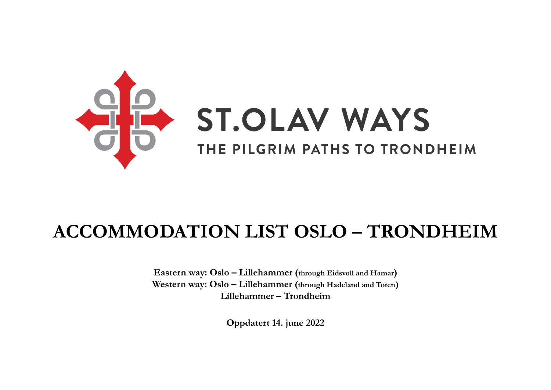

# **ACCOMMODATION LIST OSLO – TRONDHEIM**

**Eastern way: Oslo – Lillehammer (through Eidsvoll and Hamar) Western way: Oslo – Lillehammer (through Hadeland and Toten) Lillehammer – Trondheim**

**Oppdatert 14. june 2022**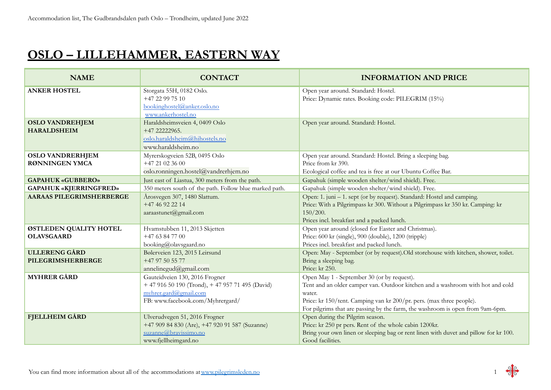#### **OSLO – LILLEHAMMER, EASTERN WAY**

| <b>NAME</b>                                      | <b>CONTACT</b>                                                                                                                                  | <b>INFORMATION AND PRICE</b>                                                                                                                                                                                                                                                                    |
|--------------------------------------------------|-------------------------------------------------------------------------------------------------------------------------------------------------|-------------------------------------------------------------------------------------------------------------------------------------------------------------------------------------------------------------------------------------------------------------------------------------------------|
| <b>ANKER HOSTEL</b>                              | Storgata 55H, 0182 Oslo.<br>+47 22 99 75 10<br>bookinghostel@anker.oslo.no<br>www.ankerhostel.no                                                | Open year around. Standard: Hostel.<br>Price: Dynamic rates. Booking code: PILEGRIM (15%)                                                                                                                                                                                                       |
| <b>OSLO VANDREHJEM</b><br><b>HARALDSHEIM</b>     | Haraldsheimsveien 4, 0409 Oslo<br>+47 22222965.<br>oslo.haraldsheim@hihostels.no<br>www.haraldsheim.no                                          | Open year around. Standard: Hostel.                                                                                                                                                                                                                                                             |
| <b>OSLO VANDRERHJEM</b><br><b>RØNNINGEN YMCA</b> | Myrerskogveien 52B, 0495 Oslo<br>$+4721023600$<br>oslo.ronningen.hostel@vandrerhjem.no                                                          | Open year around. Standard: Hostel. Bring a sleeping bag.<br>Price from kr 390.<br>Ecological coffee and tea is free at our Ubuntu Coffee Bar.                                                                                                                                                  |
| <b>GAPAHUK «GUBBERO»</b>                         | Just east of Liastua, 300 meters from the path.                                                                                                 | Gapahuk (simple wooden shelter/wind shield). Free.                                                                                                                                                                                                                                              |
| <b>GAPAHUK «KJERRINGFRED»</b>                    | 350 meters south of the path. Follow blue marked path.                                                                                          | Gapahuk (simple wooden shelter/wind shield). Free.                                                                                                                                                                                                                                              |
| <b>AARAAS PILEGRIMSHERBERGE</b>                  | Årosvegen 307, 1480 Slattum.<br>+47 46 92 22 14<br>aaraastunet@gmail.com                                                                        | Open: 1. juni – 1. sept (or by request). Standard: Hostel and camping.<br>Price: With a Pilgrimpass kr 300. Without a Pilgrimpass kr 350 kr. Camping: kr<br>150/200.<br>Prices incl. breakfast and a packed lunch.                                                                              |
| ØSTLEDEN QUALITY HOTEL<br><b>OLAVSGAARD</b>      | Hvamstubben 11, 2013 Skjetten<br>$+4763847700$<br>booking@olavsgaard.no                                                                         | Open year around (closed for Easter and Christmas).<br>Price: 600 kr (single), 900 (double), 1200 (tripple)<br>Prices incl. breakfast and packed lunch.                                                                                                                                         |
| <b>ULLERENG GÅRD</b><br>PILEGRIMSHERBERGE        | Bølerveien 123, 2015 Leirsund<br>+47 97 50 55 77<br>annelinegud@gmail.com                                                                       | Open: May - September (or by request). Old storehouse with kitchen, shower, toilet.<br>Bring a sleeping bag.<br>Price: kr 250.                                                                                                                                                                  |
| <b>MYHRER GÅRD</b>                               | Gauteidveien 130, 2016 Frogner<br>+ 47 916 50 190 (Trond), + 47 957 71 495 (David)<br>myhrer.gard@gmail.com<br>FB: www.facebook.com/Myhrergard/ | Open May 1 - September 30 (or by request).<br>Tent and an older camper van. Outdoor kitchen and a washroom with hot and cold<br>water.<br>Price: kr 150/tent. Camping van kr 200/pr. pers. (max three people).<br>For pilgrims that are passing by the farm, the washroom is open from 9am-6pm. |
| <b>FJELLHEIM GÅRD</b>                            | Ulverudvegen 51, 2016 Frogner<br>+47 909 84 830 (Are), +47 920 91 587 (Suzanne)<br>suzanne@bravissimo.no<br>www.fjellheimgard.no                | Open during the Pilgrim season.<br>Price: kr 250 pr pers. Rent of the whole cabin 1200kr.<br>Bring your own linen or sleeping bag or rent linen with duvet and pillow for kr 100.<br>Good facilities.                                                                                           |

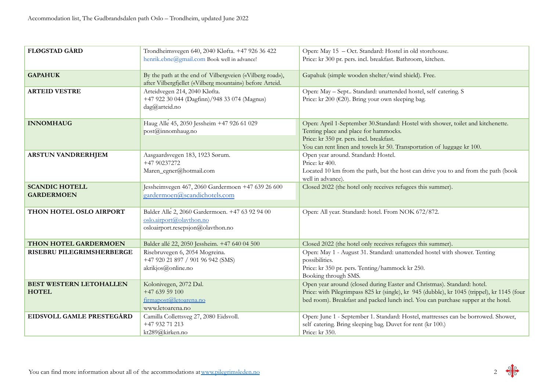| <b>FLØGSTAD GÅRD</b>                           | Trondheimsvegen 640, 2040 Kløfta. +47 926 36 422<br>henrik.ebne@gmail.com Book well in advance!                      | Open: May 15 - Oct. Standard: Hostel in old storehouse.<br>Price: kr 300 pr. pers. incl. breakfast. Bathroom, kitchen.                                                                                                                                      |
|------------------------------------------------|----------------------------------------------------------------------------------------------------------------------|-------------------------------------------------------------------------------------------------------------------------------------------------------------------------------------------------------------------------------------------------------------|
| <b>GAPAHUK</b>                                 | By the path at the end of Vilbergveien («Vilberg road»),<br>after Vilbergfjellet («Vilberg mountain») before Arteid. | Gapahuk (simple wooden shelter/wind shield). Free.                                                                                                                                                                                                          |
| <b>ARTEID VESTRE</b>                           | Arteidvegen 214, 2040 Kløfta.<br>+47 922 30 044 (Dagfinn)/948 33 074 (Magnus)<br>dag@arteid.no                       | Open: May - Sept Standard: unattended hostel, self catering. S<br>Price: kr 200 (€20). Bring your own sleeping bag.                                                                                                                                         |
| <b>INNOMHAUG</b>                               | Haug Alle 45, 2050 Jessheim +47 926 61 029<br>post@innomhaug.no                                                      | Open: April 1-September 30.Standard: Hostel with shower, toilet and kitchenette.<br>Tenting place and place for hammocks.<br>Price: kr 350 pr. pers. incl. breakfast.<br>You can rent linen and towels kr 50. Transportation of luggage kr 100.             |
| <b>ARSTUN VANDRERHJEM</b>                      | Aasgaardsvegen 183, 1923 Sørum.<br>+47 90237272<br>Maren_egner@hotmail.com                                           | Open year around. Standard: Hostel.<br>Price: kr 400.<br>Located 10 km from the path, but the host can drive you to and from the path (book<br>well in advance).                                                                                            |
| <b>SCANDIC HOTELL</b><br><b>GARDERMOEN</b>     | Jessheimvegen 467, 2060 Gardermoen +47 639 26 600<br>gardermoen@scandichotels.com                                    | Closed 2022 (the hotel only receives refugees this summer).                                                                                                                                                                                                 |
| THON HOTEL OSLO AIRPORT                        | Balder Alle 2, 2060 Gardermoen. +47 63 92 94 00<br>oslo.airport@olaython.no<br>osloairport.resepsjon@olavthon.no     | Open: All year. Standard: hotel. From NOK 672/872.                                                                                                                                                                                                          |
| THON HOTEL GARDERMOEN                          | Balder allé 22, 2050 Jessheim. +47 640 04 500                                                                        | Closed 2022 (the hotel only receives refugees this summer).                                                                                                                                                                                                 |
| RISEBRU PILEGRIMSHERBERGE                      | Risebruvegen 6, 2054 Mogreina.<br>+47 920 21 897 / 901 96 942 (SMS)<br>akrikjos@online.no                            | Open: May 1 - August 31. Standard: unattended hostel with shower. Tenting<br>possibilities.<br>Price: kr 350 pr. pers. Tenting/hammock kr 250.<br>Booking through SMS.                                                                                      |
| <b>BEST WESTERN LETOHALLEN</b><br><b>HOTEL</b> | Kolonivegen, 2072 Dal.<br>$+4763959100$<br>firmapost@letoarena.no<br>www.letoarena.no                                | Open year around (closed during Easter and Christmas). Standard: hotel.<br>Price: with Pilegrimpass 825 kr (single), kr 945 (dubble), kr 1045 (trippel), kr 1145 (four<br>bed room). Breakfast and packed lunch incl. You can purchase supper at the hotel. |
| EIDSVOLL GAMLE PRESTEGÅRD                      | Camilla Collettsveg 27, 2080 Eidsvoll.<br>+47 932 71 213<br>kt289@kirken.no                                          | Open: June 1 - September 1. Standard: Hostel, mattresses can be borrowed. Shower,<br>self catering. Bring sleeping bag. Duvet for rent (kr 100.)<br>Price: kr 350.                                                                                          |

$$
2 \quad \frac{dP}{dP}
$$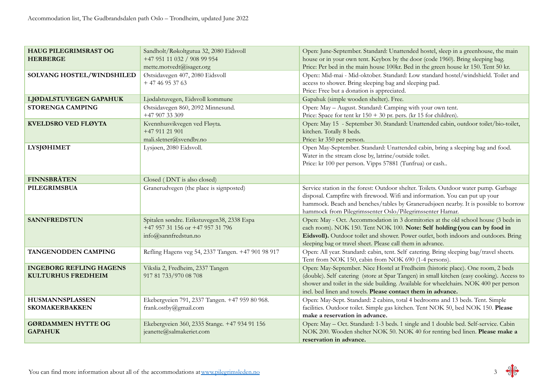| <b>HAUG PILEGRIMSRAST OG</b><br><b>HERBERGE</b>             | Sandholt/Røkoltgutua 32, 2080 Eidsvoll<br>+47 951 11 032 / 908 99 954<br>mette.motvedt@isager.org      | Open: June-September. Standard: Unattended hostel, sleep in a greenhouse, the main<br>house or in your own tent. Keybox by the door (code 1960). Bring sleeping bag.<br>Price: Per bed in the main house 100kr. Bed in the green house kr 150. Tent 50 kr.                                                                           |
|-------------------------------------------------------------|--------------------------------------------------------------------------------------------------------|--------------------------------------------------------------------------------------------------------------------------------------------------------------------------------------------------------------------------------------------------------------------------------------------------------------------------------------|
| SOLVANG HOSTEL/WINDSHILED                                   | Østsidavegen 407, 2080 Eidsvoll<br>$+4746953763$                                                       | Open:: Mid-mai - Mid-oktober. Standard: Low standard hostel/windshield. Toilet and<br>access to shower. Bring sleeping bag and sleeping pad.<br>Price: Free but a donation is appreciated.                                                                                                                                           |
| LJØDALSTUVEGEN GAPAHUK                                      | Ljødalstuvegen, Eidsvoll kommune                                                                       | Gapahuk (simple wooden shelter). Free.                                                                                                                                                                                                                                                                                               |
| <b>STORENGA CAMPING</b>                                     | Østsidavegen 860, 2092 Minnesund.<br>+47 907 33 309                                                    | Open: May - August. Standard: Camping with your own tent.<br>Price: Space for tent kr $150 + 30$ pr. pers. (kr 15 for children).                                                                                                                                                                                                     |
| <b>KVELDSRO VED FLØYTA</b>                                  | Kvennhusvikvegen ved Fløyta.<br>+47 911 21 901<br>mali.sletner@svendby.no                              | Open: May 15 - September 30. Standard: Unattended cabin, outdoor toilet/bio-toilet,<br>kitchen. Totally 8 beds.<br>Price: kr 350 per person.                                                                                                                                                                                         |
| <b>LYSJØHIMET</b>                                           | Lysjøen, 2080 Eidsvoll.                                                                                | Open May-September. Standard: Unattended cabin, bring a sleeping bag and food.<br>Water in the stream close by, latrine/outside toilet.<br>Price: kr 100 per person. Vipps 57881 (Tunfrua) or cash                                                                                                                                   |
| <b>FINNSBRÅTEN</b>                                          | Closed (DNT is also closed)                                                                            |                                                                                                                                                                                                                                                                                                                                      |
| <b>PILEGRIMSBUA</b>                                         | Granerudvegen (the place is signposted)                                                                | Service station in the forest: Outdoor shelter. Toilets. Outdoor water pump. Garbage<br>disposal. Campfire with firewood. Wifi and information. You can put up your<br>hammock. Beach and benches/tables by Granerudsjøen nearby. It is possible to borrow<br>hammock from Pilegrimssenter Oslo/Pilegrimssenter Hamar.               |
| <b>SANNFREDSTUN</b>                                         | Spitalen søndre. Erikstuvegen38, 2338 Espa<br>+47 957 31 156 or +47 957 31 796<br>info@sannfredstun.no | Open: May - Oct. Accommodation in 3 dormitories at the old school house (3 beds in<br>each room). NOK 150. Tent NOK 100. Note: Self holding (you can by food in<br>Eidsvoll). Outdoor toilet and shower. Power outlet, both indoors and outdoors. Bring<br>sleeping bag or travel sheet. Please call them in advance.                |
| TANGENODDEN CAMPING                                         | Refling Hagens veg 54, 2337 Tangen. +47 901 98 917                                                     | Open: All year. Standard: cabin, tent. Self catering. Bring sleeping bag/travel sheets.<br>Tent from NOK 150, cabin from NOK 690 (1-4 persons).                                                                                                                                                                                      |
| <b>INGEBORG REFLING HAGENS</b><br><b>KULTURHUS FREDHEIM</b> | Vikslia 2, Fredheim, 2337 Tangen<br>917 81 733/970 08 708                                              | Open: May-September. Nice Hostel at Fredheim (historic place). One room, 2 beds<br>(double). Self catering (store at Spar Tangen) in small kitchen (easy cooking). Access to<br>shower and toilet in the side building. Available for wheelchairs. NOK 400 per person<br>incl. bed linen and towels. Please contact them in advance. |
| <b>HUSMANNSPLASSEN</b><br><b>SKOMAKERBAKKEN</b>             | Ekebergveien 791, 2337 Tangen. +47 959 80 968.<br>frank.ostby@gmail.com                                | Open: May-Sept. Standard: 2 cabins, total 4 bedrooms and 13 beds. Tent. Simple<br>facilities. Outdoor toilet. Simple gas kitchen. Tent NOK 50, bed NOK 150. Please<br>make a reservation in advance.                                                                                                                                 |
| <b>GØRDAMMEN HYTTE OG</b><br><b>GAPAHUK</b>                 | Ekebergveien 360, 2335 Stange. +47 934 91 156<br>jeanette@salmakeriet.com                              | Open: May - Oct. Standard: 1-3 beds. 1 single and 1 double bed. Self-service. Cabin<br>NOK 200. Wooden shelter NOK 50. NOK 40 for renting bed linen. Please make a<br>reservation in advance.                                                                                                                                        |

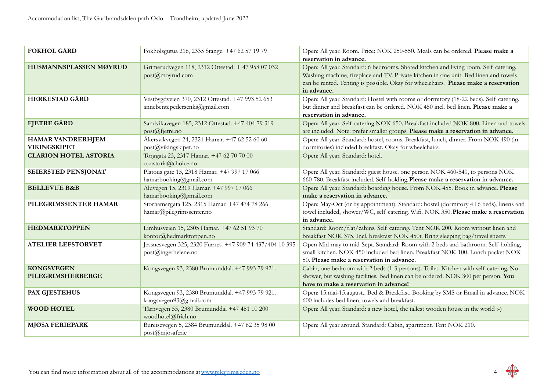| <b>FOKHOL GÅRD</b>                       | Fokholsgutua 216, 2335 Stange. +47 62 57 19 79                                    | Open: All year. Room. Price: NOK 250-550. Meals can be ordered. Please make a<br>reservation in advance.                                                                                                                                                                           |
|------------------------------------------|-----------------------------------------------------------------------------------|------------------------------------------------------------------------------------------------------------------------------------------------------------------------------------------------------------------------------------------------------------------------------------|
| HUSMANNSPLASSEN MØYRUD                   | Grimerudvegen 118, 2312 Ottestad. + 47 958 07 032<br>post@moyrud.com              | Open: All year. Standard: 6 bedrooms. Shared kitchen and living room. Self catering.<br>Washing machine, fireplace and TV. Private kitchen in one unit. Bed linen and towels<br>can be rented. Tenting is possible. Okay for wheelchairs. Please make a reservation<br>in advance. |
| <b>HERKESTAD GÅRD</b>                    | Vestbygdveien 370, 2312 Ottestad. +47 993 52 653<br>annebentepedersenki@gmail.com | Open: All year. Standard: Hostel with rooms or dormitory (18-22 beds). Self catering.<br>but dinner and breakfast can be ordered. NOK 450 incl. bed linen. Please make a<br>reservation in advance.                                                                                |
| <b>FJETRE GÅRD</b>                       | Sandvikavegen 185, 2312 Ottestad. +47 404 79 319<br>post@fjetre.no                | Open: All year. Self catering NOK 650. Breakfast included NOK 800. Linen and towels<br>are included. Note: prefer smaller groups. Please make a reservation in advance.                                                                                                            |
| <b>HAMAR VANDRERHJEM</b><br>VIKINGSKIPET | Åkersvikvegen 24, 2321 Hamar. +47 62 52 60 60<br>post@vikingskipet.no             | Open: All year. Standard: hostel, rooms. Breakfast, lunch, dinner. From NOK 490 (in<br>dormitories) included breakfast. Okay for wheelchairs.                                                                                                                                      |
| <b>CLARION HOTEL ASTORIA</b>             | Torggata 23, 2317 Hamar. +47 62 70 70 00<br>cc.astoria@choice.no                  | Open: All year. Standard: hotel.                                                                                                                                                                                                                                                   |
| SEIERSTED PENSJONAT                      | Platous gate 15, 2318 Hamar. +47 997 17 066<br>hamarbooking@gmail.com             | Open: All year. Standard: guest house. one person NOK 460-540, to persons NOK<br>660-780. Breakfast included. Self holding. Please make a reservation in advance.                                                                                                                  |
| <b>BELLEVUE B&amp;B</b>                  | Aluvegen 15, 2319 Hamar. +47 997 17 066<br>hamarbooking@gmail.com                 | Open: All year. Standard: boarding house. From NOK 455. Book in advance. Please<br>make a reservation in advance.                                                                                                                                                                  |
| PILEGRIMSSENTER HAMAR                    | Storhamargata 125, 2315 Hamar. +47 474 78 266<br>hamar@pilegrimssenter.no         | Open: May-Oct (or by appointment). Standard: hostel (dormitory 4+6 beds), linens and<br>towel included, shower/WC, self catering. Wifi. NOK 350. Please make a reservation<br>in advance.                                                                                          |
| <b>HEDMARKTOPPEN</b>                     | Limhusveien 15, 2305 Hamar. +47 62 51 93 70<br>kontor@hedmarktoppen.no            | Standard: Room/flat/cabins. Self catering. Tent NOK 200. Room without linen and<br>breakfast NOK 375. Incl. breakfast NOK 450t. Bring sleeping bag/travel sheets.                                                                                                                  |
| <b>ATELIER LEFSTORVET</b>                | Jessnesvegen 325, 2320 Furnes. +47 909 74 437/404 10 395<br>post@ingerhelene.no   | Open Mid-may to mid-Sept. Standard: Room with 2 beds and bathroom. Self holding,<br>small kitchen. NOK 450 included bed linen. Breakfast NOK 100. Lunch packet NOK<br>50. Please make a reservation in advance.                                                                    |
| <b>KONGSVEGEN</b><br>PILEGRIMSHERBERGE   | Kongsvegen 93, 2380 Brumunddal. +47 993 79 921.                                   | Cabin, one bedroom with 2 beds (1-3 persons). Toilet. Kitchen with self catering. No<br>shower, but washing facilities. Bed linen can be ordered. NOK 300 per person. You<br>have to make a reservation in advance!                                                                |
| <b>PAX GJESTEHUS</b>                     | Kongsvegen 93, 2380 Brumunddal. +47 993 79 921.<br>kongsvegen93@gmail.com         | Open: 15.mai-15.august Bed & Breakfast. Booking by SMS or Email in advance. NOK<br>600 includes bed linen, towels and breakfast.                                                                                                                                                   |
| <b>WOOD HOTEL</b>                        | Tårnvegen 55, 2380 Brumunddal +47 481 10 200<br>woodhotel@frich.no                | Open: All year. Standard: a new hotel, the tallest wooden house in the world :-)                                                                                                                                                                                                   |
| <b>MJØSA FERIEPARK</b>                   | Bureisevegen 5, 2384 Brumunddal. +47 62 35 98 00<br>post@mjosaferie               | Open: All year around. Standard: Cabin, apartment. Tent NOK 210.                                                                                                                                                                                                                   |

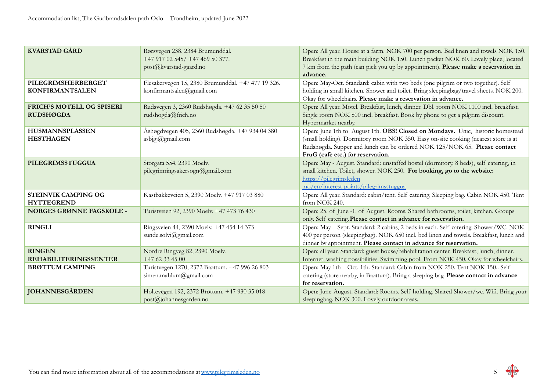| <b>KVARSTAD GÅRD</b>                                 | Rørsvegen 238, 2384 Brumunddal.<br>+47 917 02 545/ +47 469 50 377.<br>post@kvarstad-gaard.no | Open: All year. House at a farm. NOK 700 per person. Bed linen and towels NOK 150.<br>Breakfast in the main building NOK 150. Lunch packet NOK 60. Lovely place, located<br>7 km from the path (can pick you up by appointment). Please make a reservation in<br>advance.              |
|------------------------------------------------------|----------------------------------------------------------------------------------------------|----------------------------------------------------------------------------------------------------------------------------------------------------------------------------------------------------------------------------------------------------------------------------------------|
| PILEGRIMSHERBERGET<br><b>KONFIRMANTSALEN</b>         | Flesakervegen 15, 2380 Brumunddal. +47 477 19 326.<br>konfirmantsalen@gmail.com              | Open: May-Oct. Standard: cabin with two beds (one pilgrim or two together). Self<br>holding in small kitchen. Shower and toilet. Bring sleepingbag/travel sheets. NOK 200.<br>Okay for wheelchairs. Please make a reservation in advance.                                              |
| <b>FRICH'S MOTELL OG SPISERI</b><br><b>RUDSHØGDA</b> | Rudsvegen 3, 2360 Rudshøgda. +47 62 35 50 50<br>rudshogda@frich.no                           | Open: All year. Motel. Breakfast, lunch, dinner. Dbl. room NOK 1100 incl. breakfast.<br>Single room NOK 800 incl. breakfast. Book by phone to get a pilgrim discount.<br>Hypermarket nearby.                                                                                           |
| <b>HUSMANNSPLASSEN</b><br><b>HESTHAGEN</b>           | Åshøgdvegen 405, 2360 Rudshøgda. +47 934 04 380<br>$a$ sbjgj@gmail.com                       | Open: June 1th to August 1th. OBS! Closed on Mondays. Unic, historic homestead<br>(small holding). Dormitory room NOK 350. Easy on-site cooking (nearest store is at<br>Rudshøgda. Supper and lunch can be ordered NOK 125/NOK 65. Please contact<br>FruG (cafè etc.) for reservation. |
| PILEGRIMSSTUGGUA                                     | Storgata 554, 2390 Moelv.<br>pilegrimringsakersogn@gmail.com                                 | Open: May - August. Standard: unstaffed hostel (dormitory, 8 beds), self catering, in<br>small kitchen. Toilet, shower. NOK 250. For booking, go to the website:<br>https://pilegrimsleden<br>no/en/interest-points/pilegrimsstuggua                                                   |
| <b>STEINVIK CAMPING OG</b><br><b>HYTTEGREND</b>      | Kastbakkeveien 5, 2390 Moelv. +47 917 03 880                                                 | Open: All year. Standard: cabin/tent. Self catering. Sleeping bag. Cabin NOK 450. Tent<br>from NOK 240.                                                                                                                                                                                |
| <b>NORGES GRØNNE FAGSKOLE -</b>                      | Turistveien 92, 2390 Moelv. +47 473 76 430                                                   | Open: 25. of June -1. of August. Rooms. Shared bathrooms, toilet, kitchen. Groups<br>only. Self catering. Please contact in advance for reservation.                                                                                                                                   |
| <b>RINGLI</b>                                        | Ringsveien 44, 2390 Moelv. +47 454 14 373<br>sunde.solvi@gmail.com                           | Open: May - Sept. Standard: 2 cabins, 2 beds in each. Self catering. Shower/WC. NOK<br>400 per person (sleepingbag). NOK 650 incl. bed linen and towels. Breakfast, lunch and<br>dinner by appointment. Please contact in advance for reservation.                                     |
| <b>RINGEN</b><br><b>REHABILITERINGSSENTER</b>        | Nordre Ringveg 82, 2390 Moelv.<br>$+4762334500$                                              | Open: all year. Standard: guest house/rehabilitation center. Breakfast, lunch, dinner.<br>Internet, washing possibilities. Swimming pool. From NOK 450. Okay for wheelchairs.                                                                                                          |
| <b>BRØTTUM CAMPING</b>                               | Turistvegen 1270, 2372 Brøttum. +47 996 26 803<br>simen.mahlum@gmail.com                     | Open: May 1th - Oct. 1th. Standard: Cabin from NOK 250. Tent NOK 150 Self<br>catering (store nearby, in Brøttum). Bring a sleeping bag. Please contact in advance<br>for reservation.                                                                                                  |
| <b>JOHANNESGÅRDEN</b>                                | Holtevegen 192, 2372 Brøttum. +47 930 35 018<br>post@johannesgarden.no                       | Open: June-August. Standard: Rooms. Self holding. Shared Shower/wc. Wifi. Bring your<br>sleepingbag. NOK 300. Lovely outdoor areas.                                                                                                                                                    |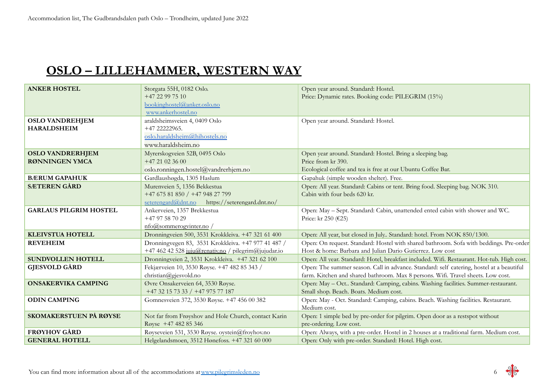### **OSLO – LILLEHAMMER, WESTERN WAY**

| <b>ANKER HOSTEL</b>           | Storgata 55H, 0182 Oslo.                             | Open year around. Standard: Hostel.                                                        |
|-------------------------------|------------------------------------------------------|--------------------------------------------------------------------------------------------|
|                               | +47 22 99 75 10                                      | Price: Dynamic rates. Booking code: PILEGRIM (15%)                                         |
|                               | bookinghostel@anker.oslo.no                          |                                                                                            |
|                               | www.ankerhostel.no                                   |                                                                                            |
| <b>OSLO VANDREHJEM</b>        | araldsheimsveien 4, 0409 Oslo                        | Open year around. Standard: Hostel.                                                        |
| <b>HARALDSHEIM</b>            | +47 22222965.                                        |                                                                                            |
|                               | oslo.haraldsheim@hihostels.no                        |                                                                                            |
|                               | www.haraldsheim.no                                   |                                                                                            |
| <b>OSLO VANDRERHJEM</b>       | Myrerskogveien 52B, 0495 Oslo                        | Open year around. Standard: Hostel. Bring a sleeping bag.                                  |
| <b>RØNNINGEN YMCA</b>         | $+4721023600$                                        | Price from kr 390.                                                                         |
|                               | oslo.ronningen.hostel@vandrerhjem.no                 | Ecological coffee and tea is free at our Ubuntu Coffee Bar.                                |
| <b>BÆRUM GAPAHUK</b>          | Gardlaushøgda, 1305 Haslum                           | Gapahuk (simple wooden shelter). Free.                                                     |
| <b>SÆTEREN GÅRD</b>           | Murenveien 5, 1356 Bekkestua                         | Open: All year. Standard: Cabins or tent. Bring food. Sleeping bag. NOK 310.               |
|                               | +47 675 81 850 / +47 948 27 799                      | Cabin with four beds 620 kr.                                                               |
|                               | seterengard@dnt.no https://seterengard.dnt.no/       |                                                                                            |
| <b>GARLAUS PILGRIM HOSTEL</b> | Ankerveien, 1357 Brekkestua                          | Open: May - Sept. Standard: Cabin, unattended ented cabin with shower and WC.              |
|                               | +47 97 58 70 29                                      | Price: kr 250 (€25)                                                                        |
|                               | nfo@sommerogvinter.no/                               |                                                                                            |
| <b>KLEIVSTUA HOTELL</b>       | Dronningveien 500, 3531 Krokkleiva. +47 321 61 400   | Open: All year, but closed in July Standard: hotel. From NOK 850/1300.                     |
| <b>REVEHEIM</b>               | Dronningvegen 83, 3531 Krokkleiva. +47 977 41 487 /  | Open: On request. Standard: Hostel with shared bathroom. Sofa with beddings. Pre-order     |
|                               | +47 462 42 528 juju@renativ.no / pilegrim@jujudar.io | Host & home: Barbara and Julian Dario Gutierrez. Low cost                                  |
| <b>SUNDVOLLEN HOTELL</b>      | Dronningveien 2, 3531 Krokkleiva. +47 321 62 100     | Open: All year. Standard: Hotel, breakfast included. Wifi. Restaurant. Hot-tub. High cost. |
| <b>GJESVOLD GÅRD</b>          | Fekjærveien 10, 3530 Røyse. +47 482 85 343 /         | Open: The summer season. Call in advance. Standard: self catering, hostel at a beautiful   |
|                               | christian@gjesvold.no                                | farm. Kitchen and shared bathroom. Max 8 persons. Wifi. Travel sheets. Low cost.           |
| <b>ONSAKERVIKA CAMPING</b>    | Øvre Onsakerveien 64, 3530 Røyse.                    | Open: May - Oct Standard: Camping, cabins. Washing facilities. Summer-restaurant.          |
|                               | +47 32 15 73 33 / +47 975 77 187                     | Small shop. Beach. Boats. Medium cost.                                                     |
| <b>ODIN CAMPING</b>           | Gomnesveien 372, 3530 Røyse. +47 456 00 382          | Open: May - Oct. Standard: Camping, cabins. Beach. Washing facilities. Restaurant.         |
|                               |                                                      | Medium cost.                                                                               |
| SKOMAKERSTUEN PÅ RØYSE        | Not far from Frøyshov and Hole Church, contact Karin | Open: 1 simple bed by pre-order for pilgrim. Open door as a restspot without               |
|                               | Røyse +47 482 85 346                                 | pre-ordering. Low cost.                                                                    |
| <b>FRØYHOV GÅRD</b>           | Røyseveien 531, 3530 Røyse. oystein@froyhov.no       | Open: Always, with a pre-order. Hostel in 2 houses at a traditional farm. Medium cost.     |
| <b>GENERAL HOTELL</b>         | Helgelandsmoen, 3512 Hønefoss. +47 321 60 000        | Open: Only with pre-order. Standard: Hotel. High cost.                                     |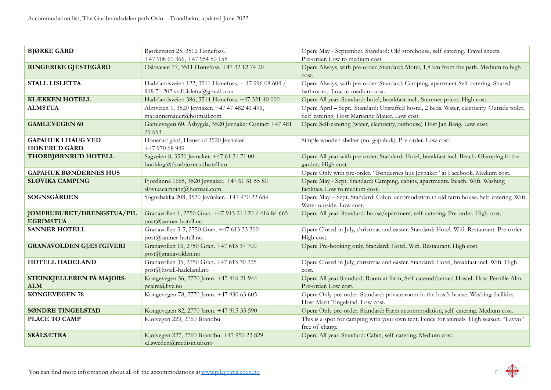| <b>BJØRKE GÅRD</b>                               | Bjørkeveien 25, 3512 Hønefoss.                                                              | Open: May - September. Standard: Old storehouse, self catering. Travel sheets.<br>Pre-order. Low to medium cost                             |
|--------------------------------------------------|---------------------------------------------------------------------------------------------|---------------------------------------------------------------------------------------------------------------------------------------------|
| RINGERIKE GJESTEGÅRD                             | +47 908 61 366, +47 954 50 155<br>Osloveien 77, 3511 Hønefoss. +47 32 12 74 20              | Open: Always, with pre-order. Standard: Motel, 1,8 km from the path. Medium to high<br>cost.                                                |
| <b>STALL LISLETTA</b>                            | Hadelandsveien 122, 3511 Hønefoss. + 47 996 08 604 /<br>918 71 202 stall.lisletta@gmail.com | Open: Always, with pre-order. Standard: Camping, apartment Self catering. Shared<br>bathroom Low to medium cost.                            |
| <b>KLÆKKEN HOTELL</b>                            | Hadelandsveien 386, 3514 Hønefoss. +47 321 40 000                                           | Open: All year. Standard: hotel, breakfast incl Summer prices. High cost.                                                                   |
| <b>ALMSTUA</b>                                   | Almveien 1, 3520 Jevnaker. +47 47 482 41 496,<br>mariannemauer@hotmail.com                  | Open: April - Sept Standard: Unstaffed hostel, 2 beds. Water, electricity. Outside toilet.<br>Self catering. Host Marianne Mauer. Low cost. |
| <b>GAMLEVEGEN 60</b>                             | Gamlevegen 60, Åsbygda, 3520 Jevnaker Contact +47 481<br>29 653                             | Open: Self-catering (water, electricity, outhouse) Host Jan Bang. Low cost.                                                                 |
| <b>GAPAHUK I HAUG VED</b><br><b>HONERUD GÅRD</b> | Honerud gård, Honerud 3520 Jevnaker<br>+47 970 68 949                                       | Simple wooden shelter (no: gapahuk). Pre-order. Low cost.                                                                                   |
| THORBJØRNRUD HOTELL                              | Sagveien 8, 3520 Jevnaker. +47 61 31 71 00<br>booking@thorbjornrudhotell.no                 | Open: All year with pre-order. Standard: Hotel, breakfast incl. Beach. Glamping in the<br>garden. High cost.                                |
| <b>GAPAHUK BØNDERNES HUS</b>                     |                                                                                             | Open: Only with pre-order. "Bøndernes hus Jevnaker" at Facebook. Medium cost.                                                               |
| <b>SLØVIKA CAMPING</b>                           | Fjordlinna 1665, 3520 Jevnaker. +47 61 31 55 80<br>slovikacamping@hotmail.com               | Open: May - Sept. Standard: Camping, cabins, apartments. Beach. Wifi. Washing<br>facilities. Low to medium cost.                            |
| <b>SOGNSGÅRDEN</b>                               | Sognsbakka 208, 3520 Jevnaker. +47 970 22 684                                               | Open: May - Sept. Standard: Cabin, accomodation in old farm house. Self catering. Wifi.<br>Water outside. Low cost.                         |
| JOMFRUBURET/DRENGSTUA/PIL<br><b>EGRIMSTUA</b>    | Granavollen 1, 2750 Gran. +47 913 21 120 / 416 84 665<br>post@sanner-hotell.no              | Open: All year. Standard: house/apartment, self catering. Pre-order. High cost.                                                             |
| <b>SANNER HOTELL</b>                             | Granavollen 3-5, 2750 Gran. +47 613 33 300<br>post@sanner-hotell.no                         | Open: Closed in July, christmas and easter. Standard: Hotel. Wifi. Restaurant. Pre-order.<br>High cost.                                     |
| <b>GRANAVOLDEN GJÆSTGIVERI</b>                   | Granavollen 16, 2750 Gran. +47 613 37 700<br>post@granavolden.no                            | Open: Pre-booking only. Standard: Hotel. Wifi. Restaurant. High cost.                                                                       |
| HOTELL HADELAND                                  | Granavollen 35, 2750 Gran. +47 613 30 225<br>post@hotell-hadeland.no                        | Open: Closed in July, christmas and easter. Standard: Hotel, breakfast incl. Wifi. High<br>cost.                                            |
| STEINKJELLEREN PÅ MAJORS-<br><b>ALM</b>          | Kongevegen 56, 2770 Jaren. +47 416 21 944<br>pcalm@live.no                                  | Open: All year Standard: Room at farm, Self-catered/served Hostel. Host Pernille Alm.<br>Pre-order. Low cost.                               |
| <b>KONGEVEGEN 78</b>                             | Kongevegen 78, 2770 Jaren. +47 930 63 605                                                   | Open: Only pre-order. Standard: private room in the host's house. Washing facilities.<br>Host Marit Tingelstad. Low cost.                   |
| <b>SØNDRE TINGELSTAD</b>                         | Kongevegen 82, 2770 Jaren. +47 915 35 590                                                   | Open: Only pre-order. Standard: Farm accommodation, self catering. Medium cost.                                                             |
| <b>PLACE TO CAMP</b>                             | Kjølvegen 223, 2760 Brandbu                                                                 | This is a spot for camping with your own tent. Fence for animals. High season: "Lavvo"<br>free of charge.                                   |
| <b>SKÅLSÆTRA</b>                                 | Kjølvegen 227, 2760 Brandbu. +47 950 23 829<br>s.l.sweden@medisin.uio.no                    | Open: All year. Standard: Cabin, self catering. Medium cost.                                                                                |

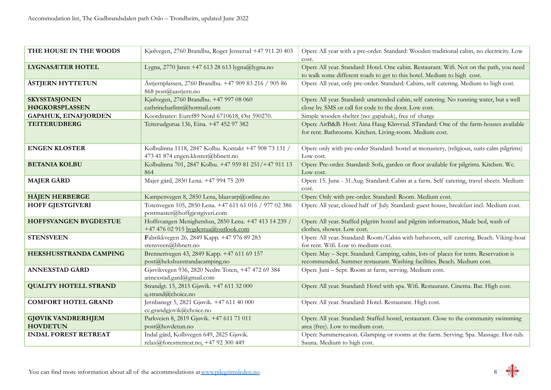| THE HOUSE IN THE WOODS                        | Kjølvegen, 2760 Brandbu, Roger Jenserud +47 911 20 403                                        | Open: All year with a pre-order. Standard: Wooden traditional cabin, no electricity. Low<br>cost.                                                                  |
|-----------------------------------------------|-----------------------------------------------------------------------------------------------|--------------------------------------------------------------------------------------------------------------------------------------------------------------------|
| <b>LYGNASÆTER HOTEL</b>                       | Lygna, 2770 Jaren +47 613 28 613 lygna@lygna.no                                               | Open: All year. Standard: Hotel. One cabin. Restaurant. Wifi. Not on the path, you need<br>to walk some different roads to get to this hotel. Medium to high cost. |
| <b>ÅSTJERN HYTTETUN</b>                       | Åstjernplassen, 2760 Brandbu. +47 909 83 216 / 905 86<br>868 post@aastjern.no                 | Open: All year, only pre-order. Standard: Cabins, self catering. Medium to high cost.                                                                              |
| <b>SKYSSTASJONEN</b><br><b>HØGKORSPLASSEN</b> | Kjølvegen, 2760 Brandbu. +47 997 08 060<br>cathrinebarlinn@hotmail.com                        | Open: All year. Standard: unattended cabin, self catering. No running water, but a well<br>close by. SMS or call for code to the door. Low cost.                   |
| <b>GAPAHUK, EINAFJORDEN</b>                   | Koordinater: Euref89 Nord 6710618, Øst 590270.                                                | Simple wooden shelter (no: gapahuk), free of charge                                                                                                                |
| <b>TEITERUDBERG</b>                           | Teiterudgutua 136, Eina. +47 452 97 382                                                       | Open: AirB&B. Host: Aina Haug Kløvrud. STandard: One of the farm-houses available<br>for rent. Bathrooms. Kitchen. Living-room. Medium cost.                       |
| <b>ENGEN KLOSTER</b>                          | Kolbulinna 1118, 2847 Kolbu. Kontakt +47 908 73 131 /<br>473 41 874 engen.kloster@bbnett.no   | Open: only with pre-order Standard: hostel at monastery, (religious, suits calm pilgrims)<br>Low cost.                                                             |
| <b>BETANIA KOLBU</b>                          | Kolbulinna 701, 2847 Kolbu. +47 959 81 251/+47 911 13<br>864                                  | Open: Pre-order. Standard: Sofa, garden or floor available for pilgrims. Kitchen. Wc.<br>Low cost.                                                                 |
| <b>MAJER GÅRD</b>                             | Majer gård, 2850 Lena. +47 994 75 209                                                         | Open: 15. June - 31. Aug. Standard: Cabin at a farm. Self catering, travel sheets. Medium<br>cost.                                                                 |
| <b>HÅJEN HERBERGE</b>                         | Kampenvegen 8, 2850 Lena, blaavarp@online.no                                                  | Open: Only with pre-order. Standard: Room. Medium cost.                                                                                                            |
| <b>HOFF GJESTGIVERI</b>                       | Totenvegen 105, 2850 Lena. +47 611 61 016 / 977 02 386<br>postmaster@hoffgjestgiveri.com      | Open: All year, closed half of July. Standard: guest house, breakfast incl. Medium cost.                                                                           |
| <b>HOFFSVANGEN BYGDESTUE</b>                  | Hoffsvangen Menighetshus, 2850 Lena. +47 413 14 239 /<br>+47 476 02 915 bygdestua@outlook.com | Open: All year. Staffed pilgrim hostel and pilgrim information, Made bed, wash of<br>clothes, shower. Low cost.                                                    |
| <b>STENSVEEN</b>                              | Fabrikkvegen 26, 2849 Kapp. +47 976 89 283<br>stensveen@bbnett.no                             | Open: All year. Standard: Room/Cabin with bathroom, self catering. Beach. Viking-boat<br>for rent. Wifi. Low to medium cost.                                       |
| HEKSHUSSTRANDA CAMPING                        | Brennerivegen 43, 2849 Kapp. +47 611 69 157<br>post@hekshusstrandacamping.no                  | Open: May - Sept. Standard: Camping, cabin, lots of places for tents. Reservation is<br>recommended. Summer restaurant. Washing facilities. Beach. Medium cost.    |
| <b>ANNEXSTAD GÅRD</b>                         | Gjøvikvegen 936, 2820 Nedre Toten, +47 472 69 384<br>annexstad.gard@gmail.com                 | Open: Juni – Sept. Room at farm, serving. Medium cost.                                                                                                             |
| <b>QUALITY HOTELL STRAND</b>                  | Strandgt. 15, 2815 Gjøvik. +47 611 32 000<br>q.strand@choice.no                               | Open: All year. Standard: Hotel with spa. Wifi. Restaurant. Cinema. Bar. High cost.                                                                                |
| <b>COMFORT HOTEL GRAND</b>                    | Jernbanegt 5, 2821 Gjøvik. +47 611 40 000<br>cc.grandgjovik@choice.no                         | Open: All year. Standard: Hotel. Restaurant. High cost.                                                                                                            |
| <b>GJØVIK VANDRERHJEM</b>                     | Parkveien 8, 2819 Gjøvik. +47 611 71 011                                                      | Open: All year. Standard: Staffed hostel, restaurant. Close to the community swimming                                                                              |
| <b>HOVDETUN</b>                               | post@hovdetun.no                                                                              | area (free). Low to medium cost.                                                                                                                                   |
| <b>INDAL FOREST RETREAT</b>                   | Indal gård, Kollsvegen 649, 2825 Gjøvik.<br>relax@forestretreat.no, +47 92 300 449            | Open: Summerseason. Glamping or rooms at the farm. Serving. Spa. Massage. Hot-tub.<br>Sauna. Medium to high cost.                                                  |

$$
8 \frac{9}{96}
$$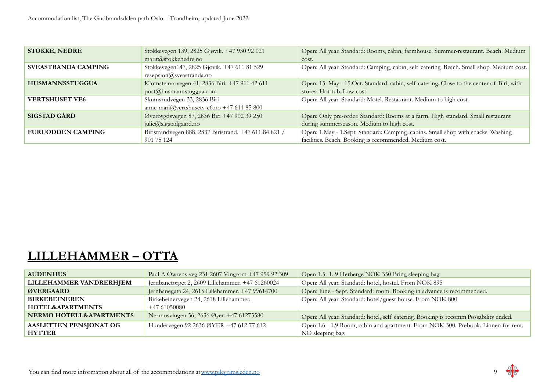| <b>STOKKE, NEDRE</b>       | Stokkevegen 139, 2825 Gjøvik. +47 930 92 021           | Open: All year. Standard: Rooms, cabin, farmhouse. Summer-restaurant. Beach. Medium        |
|----------------------------|--------------------------------------------------------|--------------------------------------------------------------------------------------------|
|                            | marit@stokkenedre.no                                   | cost.                                                                                      |
| <b>SVEASTRANDA CAMPING</b> | Stokkevegen147, 2825 Gjøvik. +47 611 81 529            | Open: All year. Standard: Camping, cabin, self catering. Beach. Small shop. Medium cost.   |
|                            | resepsjon@s<br>vezstranda.no                           |                                                                                            |
| <b>HUSMANNSSTUGGUA</b>     | Klomsteinrovegen 41, 2836 Biri. +47 911 42 611         | Open: 15. May - 15. Oct. Standard: cabin, self catering. Close to the center of Biri, with |
|                            | $post@$ husmannstuggua.com                             | stores. Hot-tub. Low cost.                                                                 |
| <b>VERTSHUSET VE6</b>      | Skumsrudvegen 33, 2836 Biri                            | Open: All year. Standard: Motel. Restaurant. Medium to high cost.                          |
|                            | anne-mari@vertshusetv-e6.no +47 611 85 800             |                                                                                            |
| <b>SIGSTAD GÅRD</b>        | Øverbygdsvegen 87, 2836 Biri +47 902 39 250            | Open: Only pre-order. Standard: Rooms at a farm. High standard. Small restaurant           |
|                            | julie@sigstadgaard.no                                  | during summerseason. Medium to high cost.                                                  |
| <b>FURUODDEN CAMPING</b>   | Biristrandvegen 888, 2837 Biristrand. +47 611 84 821 / | Open: 1.May - 1.Sept. Standard: Camping, cabins. Small shop with snacks. Washing           |
|                            | 901 75 124                                             | facilities. Beach. Booking is recommended. Medium cost.                                    |

## **LILLEHAMMER – OTTA**

| <b>AUDENHUS</b>               | Paul A Owrens veg 231 2607 Vingrom +47 959 92 309 | Open 1.5 -1. 9 Herberge NOK 350 Bring sleeping bag.                                  |
|-------------------------------|---------------------------------------------------|--------------------------------------------------------------------------------------|
| LILLEHAMMER VANDRERHJEM       | Jernbanetorget 2, 2609 Lillehammer. +47 61260024  | Open: All year. Standard: hotel, hostel. From NOK 895                                |
| <b>ØVERGAARD</b>              | Jernbanegata 24, 2615 Lillehammer. +47 99614700   | Open: June - Sept. Standard: room. Booking in advance is recommended.                |
| <b>BIRKEBEINEREN</b>          | Birkebeinervegen 24, 2618 Lillehammer.            | Open: All year. Standard: hotel/guest house. From NOK 800                            |
| <b>HOTEL&amp;APARTMENTS</b>   | $+4761050080$                                     |                                                                                      |
| NERMO HOTELL&APARTMENTS       | Nermosvingen 56, 2636 Øyer. +47 61275580          | Open: All year. Standard: hotel, self catering. Booking is recomm Possability ended. |
| <b>AASLETTEN PENSJONAT OG</b> | Hundervegen 92 2636 ØYER +47 612 77 612           | Open 1.6 - 1.9 Room, cabin and apartment. From NOK 300. Prebook. Linnen for rent.    |
| <b>HYTTER</b>                 |                                                   | NO sleeping bag.                                                                     |

$$
9 \frac{4}{9}
$$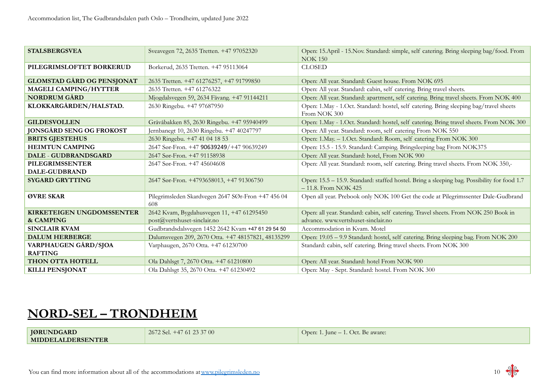| <b>STALSBERGSVEA</b>                          | Sveavegen 72, 2635 Tretten. +47 97052320                  | Open: 15.April - 15.Nov. Standard: simple, self catering. Bring sleeping bag/food. From<br><b>NOK 150</b>             |
|-----------------------------------------------|-----------------------------------------------------------|-----------------------------------------------------------------------------------------------------------------------|
| PILEGRIMSLOFTET BORKERUD                      | Borkerud, 2635 Tretten. +47 95113064                      | <b>CLOSED</b>                                                                                                         |
| <b>GLOMSTAD GÅRD OG PENSJONAT</b>             | 2635 Tretten. +47 61276257, +47 91799850                  | Open: All year. Standard: Guest house. From NOK 695                                                                   |
| MAGELI CAMPING/HYTTER                         | 2635 Tretten. +47 61276322                                | Open: All year. Standard: cabin, self catering. Bring travel sheets.                                                  |
| <b>NORDRUM GÅRD</b>                           | Mjogdalsvegen 59, 2634 Fåvang. +47 91144211               | Open: All year. Standard: apartment, self catering. Bring travel sheets. From NOK 400                                 |
| KLOKKARGÅRDEN/HALSTAD.                        | 2630 Ringebu. +47 97687950                                | Open: 1.May - 1.Oct. Standard: hostel, self catering. Bring sleeping bag/travel sheets<br>From NOK 300                |
| <b>GILDESVOLLEN</b>                           | Gråvåbakken 85, 2630 Ringebu. +47 95940499                | Open: 1.May - 1.Oct. Standard: hostel, self catering. Bring travel sheets. From NOK 300                               |
| <b>JONSGÅRD SENG OG FROKOST</b>               | Jernbanegt 10, 2630 Ringebu. +47 40247797                 | Open: All year. Standard: room, self catering From NOK 550                                                            |
| <b>BRITS GJESTEHUS</b>                        | 2630 Ringebu. +47 41 04 18 53                             | Open: 1. May. - 1. Oct. Standard: Room, self catering From NOK 300                                                    |
| <b>HEIMTUN CAMPING</b>                        | 2647 Sør-Fron. +47 90639249/+47 90639249                  | Open: 15.5 - 15.9. Standard: Camping. Bringsleeping bag From NOK375                                                   |
| DALE - GUDBRANDSGARD                          | 2647 Sør-Fron. +47 91158938                               | Open: All year. Standard: hotel, From NOK 900                                                                         |
| PILEGRIMSSENTER                               | 2647 Sør-Fron. +47 45604608                               | Open: All year. Standard: room, self catering. Bring travel sheets. From NOK 350,-                                    |
| <b>DALE-GUDBRAND</b>                          |                                                           |                                                                                                                       |
| <b>SYGARD GRYTTING</b>                        | 2647 Sør-Fron. +4793658013, +47 91306750                  | Open: 15.5 - 15.9. Standard: staffed hostel. Bring a sleeping bag. Possibility for food 1.7<br>$-11.8$ . From NOK 425 |
| ØVRE SKAR                                     | Pilegrimsleden Skardvegen 2647 SØr-Fron +47 456 04<br>608 | Open all year. Prebook only NOK 100 Get the code at Pilegrimssenter Dale-Gudbrand                                     |
| KIRKETEIGEN UNGDOMSSENTER                     | 2642 Kvam, Bygdahusvegen 11, +47 61295450                 | Open: all year. Standard: cabin, self catering. Travel sheets. From NOK 250 Book in                                   |
| & CAMPING                                     | post@vertshuset-sinclair.no                               | advance. www.vertshuset-sinclair.no                                                                                   |
| <b>SINCLAIR KVAM</b>                          | Gudbrandsdalsvegen 1452 2642 Kvam +47 61 29 54 50         | Accommodation in Kvam. Motel                                                                                          |
| <b>DALUM HERBERGE</b>                         | Dalumsvegen 209, 2670 Otta. +47 48157821, 48135299        | Open: 19.05 – 9.9 Standard: hostel, self catering. Bring sleeping bag. From NOK 200                                   |
| <b>VARPHAUGEN GÅRD/SJOA</b><br><b>RAFTING</b> | Varphaugen, 2670 Otta. +47 61230700                       | Standard: cabin, self catering. Bring travel sheets. From NOK 300                                                     |
| <b>THON OTTA HOTELL</b>                       | Ola Dahlsgt 7, 2670 Otta. +47 61210800                    | Open: All year. Standard: hotel From NOK 900                                                                          |
| <b>KILLI PENSJONAT</b>                        | Ola Dahlsgt 35, 2670 Otta. +47 61230492                   | Open: May - Sept. Standard: hostel. From NOK 300                                                                      |

## **NORD-SEL – TRONDHEIM**

**JØRUNDGARD MIDDELALDERSENTER**

2672 Sel. +47 61 23 37 00 Open: 1. June – 1. Oct. Be aware:

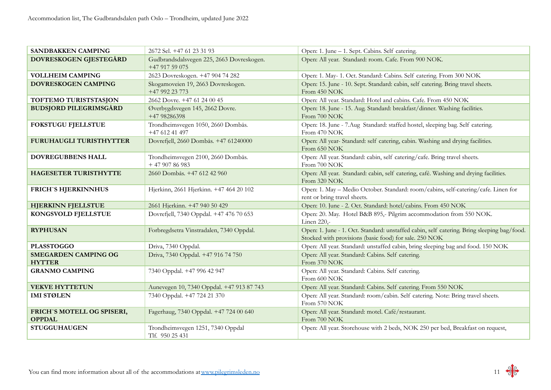| SANDBAKKEN CAMPING                           | 2672 Sel. +47 61 23 31 93                                   | Open: 1. June – 1. Sept. Cabins. Self catering.                                                                                                      |
|----------------------------------------------|-------------------------------------------------------------|------------------------------------------------------------------------------------------------------------------------------------------------------|
| DOVRESKOGEN GJESTEGÅRD                       | Gudbrandsdalsvegen 225, 2663 Dovreskogen.<br>+47 917 59 075 | Open: All year. Standard: room. Cafe. From 900 NOK.                                                                                                  |
| <b>VOLLHEIM CAMPING</b>                      | 2623 Dovreskogen. +47 904 74 282                            | Open: 1. May- 1. Oct. Standard: Cabins. Self catering. From 300 NOK                                                                                  |
| DOVRESKOGEN CAMPING                          | Skogamoveien 19, 2663 Dovreskogen.<br>+47 992 23 773        | Open: 15. June - 10. Sept. Standard: cabin, self catering. Bring travel sheets.<br>From 450 NOK                                                      |
| TOFTEMO TURISTSTASJON                        | 2662 Dovre. +47 61 24 00 45                                 | Open: All year. Standard: Hotel and cabins. Cafe. From 450 NOK                                                                                       |
| <b>BUDSJORD PILEGRIMSGÅRD</b>                | Øverbygdsvegen 145, 2662 Dovre.<br>+47 98286398             | Open: 18. June - 15. Aug. Standard: breakfast/dinner. Washing facilities.<br>From 700 NOK                                                            |
| <b>FOKSTUGU FJELLSTUE</b>                    | Trondheimsvegen 1050, 2660 Dombås.<br>+47 612 41 497        | Open: 18. June - 7. Aug Standard: staffed hostel, sleeping bag. Self catering.<br>From 470 NOK                                                       |
| <b>FURUHAUGLI TURISTHYTTER</b>               | Dovrefjell, 2660 Dombås. +47 61240000                       | Open: All year-Standard: self catering, cabin. Washing and drying facilities.<br>From 650 NOK                                                        |
| DOVREGUBBENS HALL                            | Trondheimsvegen 2100, 2660 Dombås.<br>$+4790786983$         | Open: All year. Standard: cabin, self catering/cafe. Bring travel sheets.<br>From 700 NOK                                                            |
| <b>HAGESETER TURISTHYTTE</b>                 | 2660 Dombås. +47 612 42 960                                 | Open: All year. Standard: cabin, self catering, café. Washing and drying facilities.<br>From 320 NOK                                                 |
| <b>FRICH'S HJERKINNHUS</b>                   | Hjerkinn, 2661 Hjerkinn. +47 464 20 102                     | Open: 1. May - Medio October. Standard: room/cabins, self-catering/cafe. Linen for<br>rent or bring travel sheets.                                   |
| <b>HJERKINN FJELLSTUE</b>                    | 2661 Hjerkinn. +47 940 50 429                               | Open: 10. June - 2. Oct. Standard: hotel/cabins. From 450 NOK                                                                                        |
| KONGSVOLD FJELLSTUE                          | Dovrefjell, 7340 Oppdal. +47 476 70 653                     | Open: 20. May. Hotel B&B 895,- Pilgrim accommodation from 550 NOK.<br>Linen 220,-                                                                    |
| <b>RYPHUSAN</b>                              | Forbregdsetra Vinstradalen, 7340 Oppdal.                    | Open: 1. June - 1. Oct. Standard: unstaffed cabin, self catering. Bring sleeping bag/food.<br>Stocked with provisions (basic food) for sale. 250 NOK |
| <b>PLASSTOGGO</b>                            | Driva, 7340 Oppdal.                                         | Open: All year. Standard: unstaffed cabin, bring sleeping bag and food. 150 NOK                                                                      |
| <b>SMEGARDEN CAMPING OG</b><br><b>HYTTER</b> | Driva, 7340 Oppdal. +47 916 74 750                          | Open: All year. Standard: Cabins. Self catering.<br>From 370 NOK                                                                                     |
| <b>GRANMO CAMPING</b>                        | 7340 Oppdal. +47 996 42 947                                 | Open: All year. Standard: Cabins. Self catering.<br>From 600 NOK                                                                                     |
| <b>VEKVE HYTTETUN</b>                        | Aunevegen 10, 7340 Oppdal. +47 913 87 743                   | Open: All year. Standard: Cabins. Self catering. From 550 NOK                                                                                        |
| <b>IMI STØLEN</b>                            | 7340 Oppdal. +47 724 21 370                                 | Open: All year. Standard: room/cabin. Self catering. Note: Bring travel sheets.<br>From 570 NOK                                                      |
| FRICH'S MOTELL OG SPISERI,<br><b>OPPDAL</b>  | Fagerhaug, 7340 Oppdal. +47 724 00 640                      | Open: All year. Standard: motel. Café/restaurant.<br>From 700 NOK                                                                                    |
| <b>STUGGUHAUGEN</b>                          | Trondheimsvegen 1251, 7340 Oppdal<br>Tlf. 950 25 431        | Open: All year. Storehouse with 2 beds, NOK 250 per bed, Breakfast on request,                                                                       |

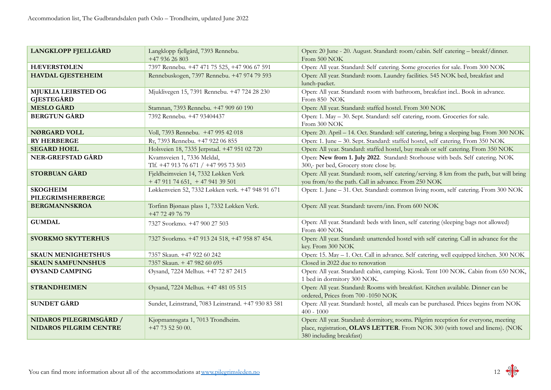| <b>LANGKLOPP FJELLGÅRD</b>                               | Langklopp fjellgård, 7393 Rennebu.<br>+47 936 26 803                 | Open: 20 June - 20. August. Standard: room/cabin. Self catering - breakf/dinner.<br>From 500 NOK                                                                                                 |
|----------------------------------------------------------|----------------------------------------------------------------------|--------------------------------------------------------------------------------------------------------------------------------------------------------------------------------------------------|
| <b>HÆVERSTØLEN</b>                                       | 7397 Rennebu. +47 471 75 525, +47 906 67 591                         | Open: All year. Standard: Self catering. Some groceries for sale. From 300 NOK                                                                                                                   |
| <b>HAVDAL GJESTEHEIM</b>                                 | Rennebuskogen, 7397 Rennebu. +47 974 79 593                          | Open: All year. Standard: room. Laundry facilities. 545 NOK bed, breakfast and<br>lunch-packet.                                                                                                  |
| <b>MJUKLIA LEIRSTED OG</b><br><b>GJESTEGÅRD</b>          | Mjuklivegen 15, 7391 Rennebu. +47 724 28 230                         | Open: All year. Standard: room with bathroom, breakfast incl Book in advance.<br>From 850 NOK                                                                                                    |
| <b>MESLO GÅRD</b>                                        | Stamnan, 7393 Rennebu. +47 909 60 190                                | Open: All year. Standard: staffed hostel. From 300 NOK                                                                                                                                           |
| <b>BERGTUN GÅRD</b>                                      | 7392 Rennebu. +47 93404437                                           | Open: 1. May - 30. Sept. Standard: self catering, room. Groceries for sale.<br>From 300 NOK                                                                                                      |
| <b>NØRGARD VOLL</b>                                      | Voll, 7393 Rennebu. +47 995 42 018                                   | Open: 20. April - 14. Oct. Standard: self catering, bring a sleeping bag. From 300 NOK                                                                                                           |
| <b>RY HERBERGE</b>                                       | Ry, 7393 Rennebu. +47 922 06 855                                     | Open: 1. June - 30. Sept. Standard: staffed hostel, self catering. From 350 NOK                                                                                                                  |
| <b>SEGARD HOEL</b>                                       | Holsveien 18, 7335 Jerpstad. +47 951 02 720                          | Open: All year. Standard: staffed hostel, buy meals or self catering. From 350 NOK                                                                                                               |
| <b>NER-GREFSTAD GÅRD</b>                                 | Kvamsveien 1, 7336 Meldal,<br>Tlf. +47 913 76 671 / +47 995 73 503   | Open: New from 1. July 2022. Standard: Storhouse with beds. Self catering. NOK<br>300,- per bed, Grocery store close by.                                                                         |
| <b>STORBUAN GÅRD</b>                                     | Fjeldheimveien 14, 7332 Løkken Verk<br>$+4791174651$ , $+4794139501$ | Open: All year. Standard: room, self catering/serving. 8 km from the path, but will bring<br>you from/to the path. Call in advance. From 250 NOK                                                 |
| <b>SKOGHEIM</b><br>PILEGRIMSHERBERGE                     | Løkkenveien 52, 7332 Løkken verk. +47 948 91 671                     | Open: 1. June - 31. Oct. Standard: common living room, self catering. From 300 NOK                                                                                                               |
| <b>BERGMANNSKROA</b>                                     | Torfinn Bjønaas plass 1, 7332 Løkken Verk.<br>+47 72 49 76 79        | Open: All year. Standard: tavern/inn. From 600 NOK                                                                                                                                               |
| <b>GUMDAL</b>                                            | 7327 Svorkmo. +47 900 27 503                                         | Open: All year. Standard: beds with linen, self catering (sleeping bags not allowed)<br>From 400 NOK                                                                                             |
| <b>SVORKMO SKYTTERHUS</b>                                | 7327 Svorkmo. +47 913 24 518, +47 958 87 454.                        | Open: All year. Standard: unattended hostel with self catering. Call in advance for the<br>key. From 300 NOK                                                                                     |
| <b>SKAUN MENIGHETSHUS</b>                                | 7357 Skaun. +47 922 60 242                                           | Open: 15. May - 1. Oct. Call in advance. Self catering, well equipped kitchen. 300 NOK                                                                                                           |
| <b>SKAUN SAMFUNNSHUS</b>                                 | 7357 Skaun. + 47 982 60 695                                          | Closed in 2022 due to renovation                                                                                                                                                                 |
| ØYSAND CAMPING                                           | Øysand, 7224 Melhus. +47 72 87 2415                                  | Open: All year. Standard: cabin, camping. Kiosk. Tent 100 NOK. Cabin from 650 NOK,<br>1 bed in dormitory 300 NOK.                                                                                |
| <b>STRANDHEIMEN</b>                                      | Øysand, 7224 Melhus. +47 481 05 515                                  | Open: All year. Standard: Rooms with breakfast. Kitchen available. Dinner can be<br>ordered, Prices from 700 -1050 NOK                                                                           |
| <b>SUNDET GÅRD</b>                                       | Sundet, Leinstrand, 7083 Leinstrand. +47 930 83 581                  | Open: All year. Standard: hostel, all meals can be purchased. Prices begins from NOK<br>$400 - 1000$                                                                                             |
| NIDAROS PILEGRIMSGÅRD /<br><b>NIDAROS PILGRIM CENTRE</b> | Kjøpmannsgata 1, 7013 Trondheim.<br>$+47$ 73 52 50 00.               | Open: All year. Standard: dormitory, rooms. Pilgrim reception for everyone, meeting<br>place, registration, OLAVS LETTER. From NOK 300 (with towel and linens). (NOK<br>380 including breakfast) |

$$
12 \frac{9}{6} \frac{1}{6}
$$